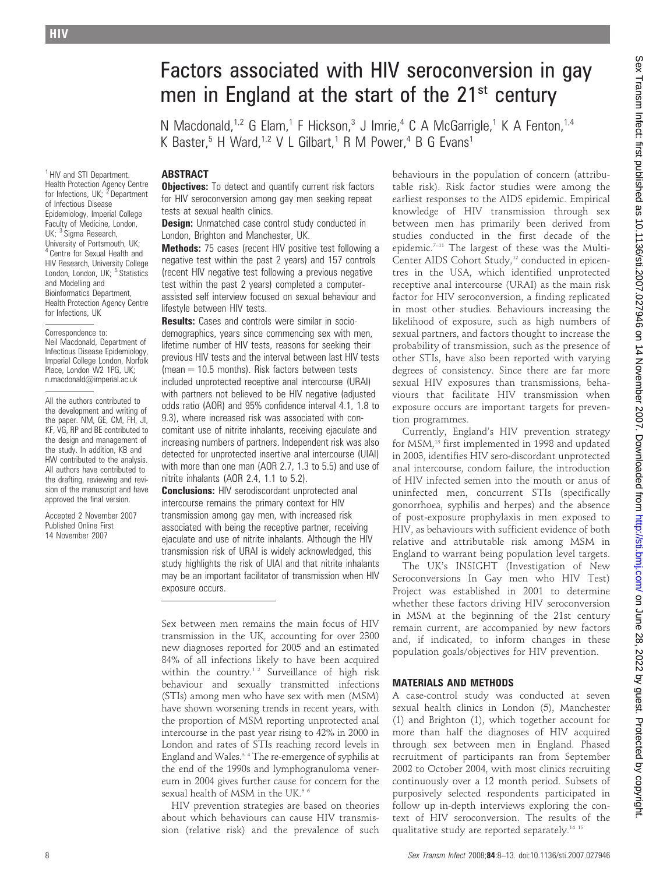<sup>1</sup> HIV and STI Department. Health Protection Agency Centre for Infections, UK; <sup>2</sup> Department of Infectious Disease Epidemiology, Imperial College Faculty of Medicine, London, UK; <sup>3</sup> Sigma Research, University of Portsmouth, UK; <sup>4</sup> Centre for Sexual Health and HIV Research, University College<br>London, London, UK; <sup>5</sup> Statistics and Modelling and Bioinformatics Department, Health Protection Agency Centre for Infections, UK

#### Correspondence to: Neil Macdonald, Department of Infectious Disease Epidemiology, Imperial College London, Norfolk Place, London W2 1PG, UK; n.macdonald@imperial.ac.uk

All the authors contributed to the development and writing of the paper. NM, GE, CM, FH, JI, KF, VG, RP and BE contributed to the design and management of the study. In addition, KB and HW contributed to the analysis. All authors have contributed to the drafting, reviewing and revision of the manuscript and have approved the final version.

Accepted 2 November 2007 Published Online First 14 November 2007

# Factors associated with HIV seroconversion in gay men in England at the start of the 21<sup>st</sup> century

N Macdonald,<sup>1,2</sup> G Elam,<sup>1</sup> F Hickson,<sup>3</sup> J Imrie,<sup>4</sup> C A McGarrigle,<sup>1</sup> K A Fenton,<sup>1,4</sup> K Baster,<sup>5</sup> H Ward,<sup>1,2</sup> V L Gilbart,<sup>1</sup> R M Power,<sup>4</sup> B G Evans<sup>1</sup>

## ABSTRACT

**Objectives:** To detect and quantify current risk factors for HIV seroconversion among gay men seeking repeat tests at sexual health clinics.

**Design:** Unmatched case control study conducted in London, Brighton and Manchester, UK.

Methods: 75 cases (recent HIV positive test following a negative test within the past 2 years) and 157 controls (recent HIV negative test following a previous negative test within the past 2 years) completed a computerassisted self interview focused on sexual behaviour and lifestyle between HIV tests.

**Results:** Cases and controls were similar in sociodemographics, years since commencing sex with men, lifetime number of HIV tests, reasons for seeking their previous HIV tests and the interval between last HIV tests  $(mean = 10.5$  months). Risk factors between tests included unprotected receptive anal intercourse (URAI) with partners not believed to be HIV negative (adjusted odds ratio (AOR) and 95% confidence interval 4.1, 1.8 to 9.3), where increased risk was associated with concomitant use of nitrite inhalants, receiving ejaculate and increasing numbers of partners. Independent risk was also detected for unprotected insertive anal intercourse (UIAI) with more than one man (AOR 2.7, 1.3 to 5.5) and use of nitrite inhalants (AOR 2.4, 1.1 to 5.2).

**Conclusions:** HIV serodiscordant unprotected anal intercourse remains the primary context for HIV transmission among gay men, with increased risk associated with being the receptive partner, receiving ejaculate and use of nitrite inhalants. Although the HIV transmission risk of URAI is widely acknowledged, this study highlights the risk of UIAI and that nitrite inhalants may be an important facilitator of transmission when HIV exposure occurs.

Sex between men remains the main focus of HIV transmission in the UK, accounting for over 2300 new diagnoses reported for 2005 and an estimated 84% of all infections likely to have been acquired within the country.<sup>12</sup> Surveillance of high risk behaviour and sexually transmitted infections (STIs) among men who have sex with men (MSM) have shown worsening trends in recent years, with the proportion of MSM reporting unprotected anal intercourse in the past year rising to 42% in 2000 in London and rates of STIs reaching record levels in England and Wales.3 4 The re-emergence of syphilis at the end of the 1990s and lymphogranuloma venereum in 2004 gives further cause for concern for the sexual health of MSM in the UK.<sup>5 6</sup>

HIV prevention strategies are based on theories about which behaviours can cause HIV transmission (relative risk) and the prevalence of such behaviours in the population of concern (attributable risk). Risk factor studies were among the earliest responses to the AIDS epidemic. Empirical knowledge of HIV transmission through sex between men has primarily been derived from studies conducted in the first decade of the epidemic.<sup>7-11</sup> The largest of these was the Multi-Center AIDS Cohort Study,<sup>12</sup> conducted in epicentres in the USA, which identified unprotected receptive anal intercourse (URAI) as the main risk factor for HIV seroconversion, a finding replicated in most other studies. Behaviours increasing the likelihood of exposure, such as high numbers of sexual partners, and factors thought to increase the probability of transmission, such as the presence of other STIs, have also been reported with varying degrees of consistency. Since there are far more sexual HIV exposures than transmissions, behaviours that facilitate HIV transmission when exposure occurs are important targets for prevention programmes.

Currently, England's HIV prevention strategy for MSM,<sup>13</sup> first implemented in 1998 and updated in 2003, identifies HIV sero-discordant unprotected anal intercourse, condom failure, the introduction of HIV infected semen into the mouth or anus of uninfected men, concurrent STIs (specifically gonorrhoea, syphilis and herpes) and the absence of post-exposure prophylaxis in men exposed to HIV, as behaviours with sufficient evidence of both relative and attributable risk among MSM in England to warrant being population level targets.

The UK's INSIGHT (Investigation of New Seroconversions In Gay men who HIV Test) Project was established in 2001 to determine whether these factors driving HIV seroconversion in MSM at the beginning of the 21st century remain current, are accompanied by new factors and, if indicated, to inform changes in these population goals/objectives for HIV prevention.

### MATERIALS AND METHODS

A case-control study was conducted at seven sexual health clinics in London (5), Manchester (1) and Brighton (1), which together account for more than half the diagnoses of HIV acquired through sex between men in England. Phased recruitment of participants ran from September 2002 to October 2004, with most clinics recruiting continuously over a 12 month period. Subsets of purposively selected respondents participated in follow up in-depth interviews exploring the context of HIV seroconversion. The results of the qualitative study are reported separately.14 15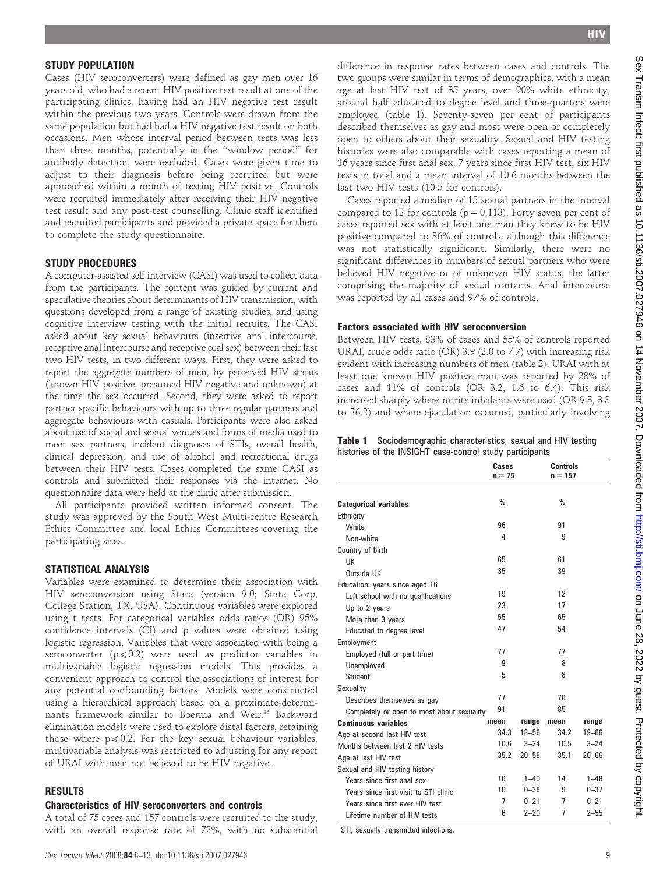#### STUDY POPULATION

Cases (HIV seroconverters) were defined as gay men over 16 years old, who had a recent HIV positive test result at one of the participating clinics, having had an HIV negative test result within the previous two years. Controls were drawn from the same population but had had a HIV negative test result on both occasions. Men whose interval period between tests was less than three months, potentially in the ''window period'' for antibody detection, were excluded. Cases were given time to adjust to their diagnosis before being recruited but were approached within a month of testing HIV positive. Controls were recruited immediately after receiving their HIV negative test result and any post-test counselling. Clinic staff identified and recruited participants and provided a private space for them to complete the study questionnaire.

#### STUDY PROCEDURES

A computer-assisted self interview (CASI) was used to collect data from the participants. The content was guided by current and speculative theories about determinants of HIV transmission, with questions developed from a range of existing studies, and using cognitive interview testing with the initial recruits. The CASI asked about key sexual behaviours (insertive anal intercourse, receptive anal intercourse and receptive oral sex) between their last two HIV tests, in two different ways. First, they were asked to report the aggregate numbers of men, by perceived HIV status (known HIV positive, presumed HIV negative and unknown) at the time the sex occurred. Second, they were asked to report partner specific behaviours with up to three regular partners and aggregate behaviours with casuals. Participants were also asked about use of social and sexual venues and forms of media used to meet sex partners, incident diagnoses of STIs, overall health, clinical depression, and use of alcohol and recreational drugs between their HIV tests. Cases completed the same CASI as controls and submitted their responses via the internet. No questionnaire data were held at the clinic after submission.

All participants provided written informed consent. The study was approved by the South West Multi-centre Research Ethics Committee and local Ethics Committees covering the participating sites.

#### STATISTICAL ANALYSIS

Variables were examined to determine their association with HIV seroconversion using Stata (version 9.0; Stata Corp, College Station, TX, USA). Continuous variables were explored using t tests. For categorical variables odds ratios (OR) 95% confidence intervals (CI) and p values were obtained using logistic regression. Variables that were associated with being a seroconverter ( $p \le 0.2$ ) were used as predictor variables in multivariable logistic regression models. This provides a convenient approach to control the associations of interest for any potential confounding factors. Models were constructed using a hierarchical approach based on a proximate-determinants framework similar to Boerma and Weir.<sup>16</sup> Backward elimination models were used to explore distal factors, retaining those where  $p \le 0.2$ . For the key sexual behaviour variables, multivariable analysis was restricted to adjusting for any report of URAI with men not believed to be HIV negative.

### RESULTS

### Characteristics of HIV seroconverters and controls

A total of 75 cases and 157 controls were recruited to the study, with an overall response rate of 72%, with no substantial

difference in response rates between cases and controls. The two groups were similar in terms of demographics, with a mean age at last HIV test of 35 years, over 90% white ethnicity, around half educated to degree level and three-quarters were employed (table 1). Seventy-seven per cent of participants described themselves as gay and most were open or completely open to others about their sexuality. Sexual and HIV testing histories were also comparable with cases reporting a mean of 16 years since first anal sex, 7 years since first HIV test, six HIV tests in total and a mean interval of 10.6 months between the last two HIV tests (10.5 for controls).

Cases reported a median of 15 sexual partners in the interval compared to 12 for controls ( $p = 0.113$ ). Forty seven per cent of cases reported sex with at least one man they knew to be HIV positive compared to 36% of controls, although this difference was not statistically significant. Similarly, there were no significant differences in numbers of sexual partners who were believed HIV negative or of unknown HIV status, the latter comprising the majority of sexual contacts. Anal intercourse was reported by all cases and 97% of controls.

#### Factors associated with HIV seroconversion

Between HIV tests, 83% of cases and 55% of controls reported URAI, crude odds ratio (OR) 3.9 (2.0 to 7.7) with increasing risk evident with increasing numbers of men (table 2). URAI with at least one known HIV positive man was reported by 28% of cases and 11% of controls (OR 3.2, 1.6 to 6.4). This risk increased sharply where nitrite inhalants were used (OR 9.3, 3.3 to 26.2) and where ejaculation occurred, particularly involving

| <b>Table 1</b> Sociodemographic characteristics, sexual and HIV testing |  |
|-------------------------------------------------------------------------|--|
| histories of the INSIGHT case-control study participants                |  |

|                                            | Cases<br>$n = 75$ |           | <b>Controls</b><br>$n = 157$ |           |
|--------------------------------------------|-------------------|-----------|------------------------------|-----------|
|                                            | %                 |           | $\%$                         |           |
| <b>Categorical variables</b>               |                   |           |                              |           |
| Ethnicity<br>White                         | 96                |           | 91                           |           |
|                                            | 4                 |           | 9                            |           |
| Non-white                                  |                   |           |                              |           |
| Country of birth                           | 65                |           | 61                           |           |
| LIK                                        | 35                |           | 39                           |           |
| Outside UK                                 |                   |           |                              |           |
| Education: years since aged 16             | 19                |           | 12                           |           |
| Left school with no qualifications         | 23                |           | 17                           |           |
| Up to 2 years                              | 55                |           | 65                           |           |
| More than 3 years                          |                   |           |                              |           |
| Educated to degree level                   | 47                |           | 54                           |           |
| Employment                                 |                   |           |                              |           |
| Employed (full or part time)               | 77                |           | 77                           |           |
| Unemployed                                 | 9                 |           | 8                            |           |
| Student                                    | 5                 |           | 8                            |           |
| Sexuality                                  |                   |           |                              |           |
| Describes themselves as gay                | 77                |           | 76                           |           |
| Completely or open to most about sexuality | 91                |           | 85                           |           |
| <b>Continuous variables</b>                | mean              | range     | mean                         | range     |
| Age at second last HIV test                | 34.3              | $18 - 56$ | 34.2                         | $19 - 66$ |
| Months between last 2 HIV tests            | 10.6              | $3 - 24$  | 10.5                         | $3 - 24$  |
| Age at last HIV test                       | 35.2              | $20 - 58$ | 35.1                         | $20 - 66$ |
| Sexual and HIV testing history             |                   |           |                              |           |
| Years since first anal sex                 | 16                | $1 - 40$  | 14                           | $1 - 48$  |
| Years since first visit to STI clinic      | 10                | $0 - 38$  | 9                            | $0 - 37$  |
| Years since first ever HIV test            | 7                 | $0 - 21$  | 7                            | $0 - 21$  |
| Lifetime number of HIV tests               | 6                 | $2 - 20$  | $\overline{7}$               | $2 - 55$  |

STI, sexually transmitted infections.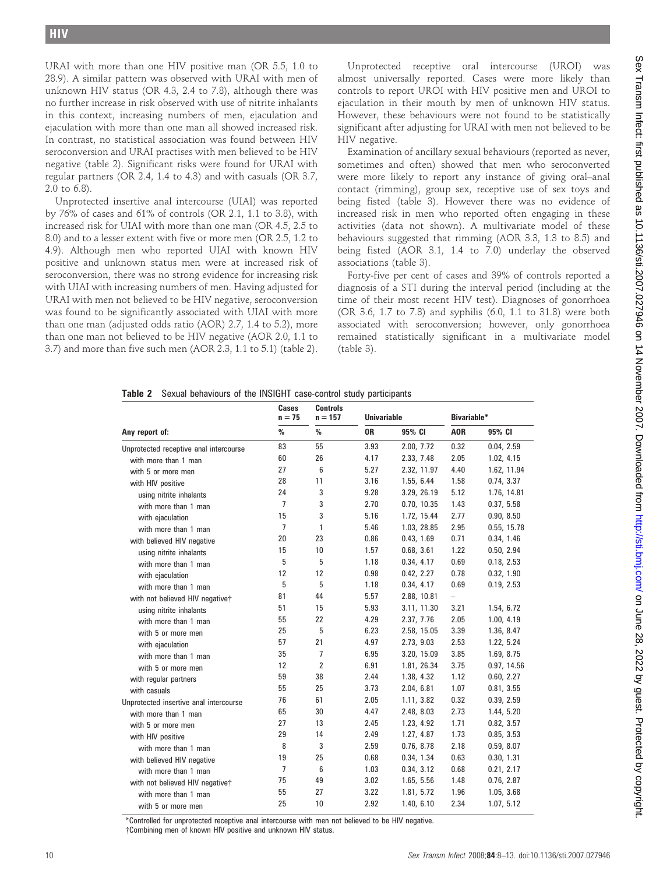URAI with more than one HIV positive man (OR 5.5, 1.0 to 28.9). A similar pattern was observed with URAI with men of unknown HIV status (OR 4.3, 2.4 to 7.8), although there was no further increase in risk observed with use of nitrite inhalants in this context, increasing numbers of men, ejaculation and ejaculation with more than one man all showed increased risk. In contrast, no statistical association was found between HIV seroconversion and URAI practises with men believed to be HIV negative (table 2). Significant risks were found for URAI with regular partners (OR 2.4, 1.4 to 4.3) and with casuals (OR 3.7, 2.0 to 6.8).

Unprotected insertive anal intercourse (UIAI) was reported by 76% of cases and 61% of controls (OR 2.1, 1.1 to 3.8), with increased risk for UIAI with more than one man (OR 4.5, 2.5 to 8.0) and to a lesser extent with five or more men (OR 2.5, 1.2 to 4.9). Although men who reported UIAI with known HIV positive and unknown status men were at increased risk of seroconversion, there was no strong evidence for increasing risk with UIAI with increasing numbers of men. Having adjusted for URAI with men not believed to be HIV negative, seroconversion was found to be significantly associated with UIAI with more than one man (adjusted odds ratio (AOR) 2.7, 1.4 to 5.2), more than one man not believed to be HIV negative (AOR 2.0, 1.1 to 3.7) and more than five such men (AOR 2.3, 1.1 to 5.1) (table 2).

Unprotected receptive oral intercourse (UROI) was almost universally reported. Cases were more likely than controls to report UROI with HIV positive men and UROI to ejaculation in their mouth by men of unknown HIV status. However, these behaviours were not found to be statistically significant after adjusting for URAI with men not believed to be HIV negative.

Examination of ancillary sexual behaviours (reported as never, sometimes and often) showed that men who seroconverted were more likely to report any instance of giving oral–anal contact (rimming), group sex, receptive use of sex toys and being fisted (table 3). However there was no evidence of increased risk in men who reported often engaging in these activities (data not shown). A multivariate model of these behaviours suggested that rimming (AOR 3.3, 1.3 to 8.5) and being fisted (AOR 3.1, 1.4 to 7.0) underlay the observed associations (table 3).

Forty-five per cent of cases and 39% of controls reported a diagnosis of a STI during the interval period (including at the time of their most recent HIV test). Diagnoses of gonorrhoea (OR 3.6, 1.7 to 7.8) and syphilis (6.0, 1.1 to 31.8) were both associated with seroconversion; however, only gonorrhoea remained statistically significant in a multivariate model (table 3).

|  |  |  |  |  |  | Table 2 Sexual behaviours of the INSIGHT case-control study participants |  |  |
|--|--|--|--|--|--|--------------------------------------------------------------------------|--|--|
|--|--|--|--|--|--|--------------------------------------------------------------------------|--|--|

|                                        | Cases<br>$n = 75$ | <b>Controls</b><br>$n = 157$<br>% | <b>Univariable</b> |             | <b>Bivariable*</b> |             |
|----------------------------------------|-------------------|-----------------------------------|--------------------|-------------|--------------------|-------------|
| Any report of:                         | $\%$              |                                   | 0R                 | 95% CI      | A <sub>OR</sub>    | 95% CI      |
| Unprotected receptive anal intercourse | 83                | 55                                | 3.93               | 2.00, 7.72  | 0.32               | 0.04, 2.59  |
| with more than 1 man                   | 60                | 26                                | 4.17               | 2.33, 7.48  | 2.05               | 1.02, 4.15  |
| with 5 or more men                     | 27                | 6                                 | 5.27               | 2.32, 11.97 | 4.40               | 1.62, 11.94 |
| with HIV positive                      | 28                | 11                                | 3.16               | 1.55, 6.44  | 1.58               | 0.74, 3.37  |
| using nitrite inhalants                | 24                | 3                                 | 9.28               | 3.29, 26.19 | 5.12               | 1.76, 14.81 |
| with more than 1 man                   | $\overline{7}$    | 3                                 | 2.70               | 0.70, 10.35 | 1.43               | 0.37, 5.58  |
| with ejaculation                       | 15                | 3                                 | 5.16               | 1.72, 15.44 | 2.77               | 0.90, 8.50  |
| with more than 1 man                   | $\overline{7}$    | 1                                 | 5.46               | 1.03, 28.85 | 2.95               | 0.55, 15.78 |
| with believed HIV negative             | 20                | 23                                | 0.86               | 0.43, 1.69  | 0.71               | 0.34, 1.46  |
| using nitrite inhalants                | 15                | 10                                | 1.57               | 0.68, 3.61  | 1.22               | 0.50, 2.94  |
| with more than 1 man                   | 5                 | 5                                 | 1.18               | 0.34, 4.17  | 0.69               | 0.18, 2.53  |
| with ejaculation                       | 12                | 12                                | 0.98               | 0.42, 2.27  | 0.78               | 0.32, 1.90  |
| with more than 1 man                   | 5                 | 5                                 | 1.18               | 0.34, 4.17  | 0.69               | 0.19, 2.53  |
| with not believed HIV negative†        | 81                | 44                                | 5.57               | 2.88, 10.81 | $\qquad \qquad -$  |             |
| using nitrite inhalants                | 51                | 15                                | 5.93               | 3.11, 11.30 | 3.21               | 1.54, 6.72  |
| with more than 1 man                   | 55                | 22                                | 4.29               | 2.37, 7.76  | 2.05               | 1.00, 4.19  |
| with 5 or more men                     | 25                | 5                                 | 6.23               | 2.58, 15.05 | 3.39               | 1.36, 8.47  |
| with ejaculation                       | 57                | 21                                | 4.97               | 2.73, 9.03  | 2.53               | 1.22, 5.24  |
| with more than 1 man                   | 35                | $\overline{1}$                    | 6.95               | 3.20, 15.09 | 3.85               | 1.69, 8.75  |
| with 5 or more men                     | 12                | $\overline{2}$                    | 6.91               | 1.81, 26.34 | 3.75               | 0.97, 14.56 |
| with regular partners                  | 59                | 38                                | 2.44               | 1.38, 4.32  | 1.12               | 0.60, 2.27  |
| with casuals                           | 55                | 25                                | 3.73               | 2.04, 6.81  | 1.07               | 0.81, 3.55  |
| Unprotected insertive anal intercourse | 76                | 61                                | 2.05               | 1.11, 3.82  | 0.32               | 0.39, 2.59  |
| with more than 1 man                   | 65                | 30                                | 4.47               | 2.48, 8.03  | 2.73               | 1.44, 5.20  |
| with 5 or more men                     | 27                | 13                                | 2.45               | 1.23, 4.92  | 1.71               | 0.82, 3.57  |
| with HIV positive                      | 29                | 14                                | 2.49               | 1.27, 4.87  | 1.73               | 0.85, 3.53  |
| with more than 1 man                   | 8                 | 3                                 | 2.59               | 0.76, 8.78  | 2.18               | 0.59, 8.07  |
| with believed HIV negative             | 19                | 25                                | 0.68               | 0.34, 1.34  | 0.63               | 0.30, 1.31  |
| with more than 1 man                   | $\overline{7}$    | 6                                 | 1.03               | 0.34, 3.12  | 0.68               | 0.21, 2.17  |
| with not believed HIV negative†        | 75                | 49                                | 3.02               | 1.65, 5.56  | 1.48               | 0.76, 2.87  |
| with more than 1 man                   | 55                | 27                                | 3.22               | 1.81, 5.72  | 1.96               | 1.05, 3.68  |
| with 5 or more men                     | 25                | 10                                | 2.92               | 1.40, 6.10  | 2.34               | 1.07, 5.12  |

\*Controlled for unprotected receptive anal intercourse with men not believed to be HIV negative. {Combining men of known HIV positive and unknown HIV status.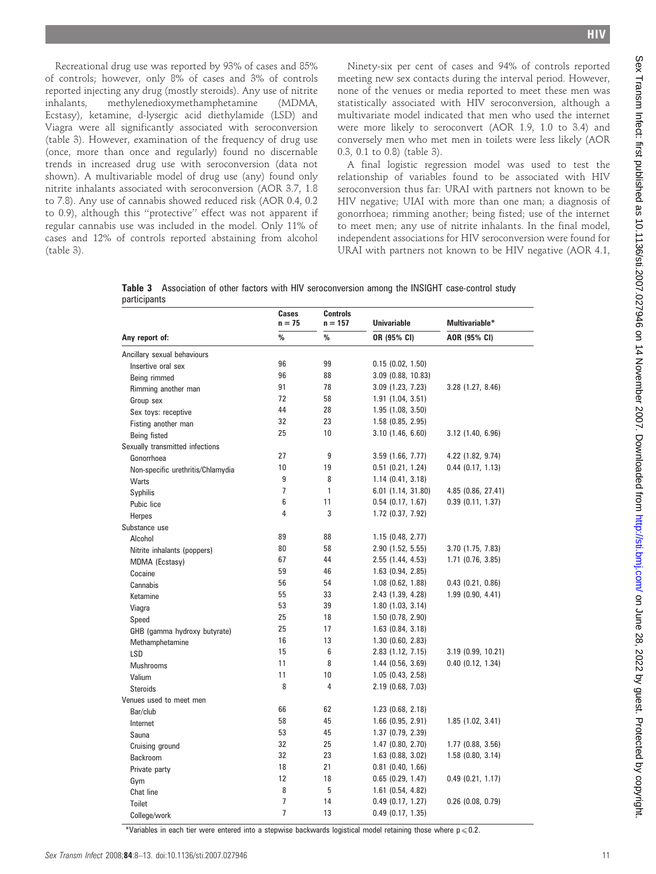Recreational drug use was reported by 93% of cases and 85% of controls; however, only 8% of cases and 3% of controls reported injecting any drug (mostly steroids). Any use of nitrite inhalants, methylenedioxymethamphetamine (MDMA, Ecstasy), ketamine, d-lysergic acid diethylamide (LSD) and Viagra were all significantly associated with seroconversion (table 3). However, examination of the frequency of drug use (once, more than once and regularly) found no discernable trends in increased drug use with seroconversion (data not shown). A multivariable model of drug use (any) found only nitrite inhalants associated with seroconversion (AOR 3.7, 1.8 to 7.8). Any use of cannabis showed reduced risk (AOR 0.4, 0.2 to 0.9), although this ''protective'' effect was not apparent if regular cannabis use was included in the model. Only 11% of cases and 12% of controls reported abstaining from alcohol (table 3).

Ninety-six per cent of cases and 94% of controls reported meeting new sex contacts during the interval period. However, none of the venues or media reported to meet these men was statistically associated with HIV seroconversion, although a multivariate model indicated that men who used the internet were more likely to seroconvert (AOR 1.9, 1.0 to 3.4) and conversely men who met men in toilets were less likely (AOR 0.3, 0.1 to 0.8) (table 3).

A final logistic regression model was used to test the relationship of variables found to be associated with HIV seroconversion thus far: URAI with partners not known to be HIV negative; UIAI with more than one man; a diagnosis of gonorrhoea; rimming another; being fisted; use of the internet to meet men; any use of nitrite inhalants. In the final model, independent associations for HIV seroconversion were found for URAI with partners not known to be HIV negative (AOR 4.1,

|              |  |  | Table 3 Association of other factors with HIV seroconversion among the INSIGHT case-control study |  |  |
|--------------|--|--|---------------------------------------------------------------------------------------------------|--|--|
| participants |  |  |                                                                                                   |  |  |

|                                   | Cases<br>$n = 75$ | <b>Controls</b><br>$n = 157$ | <b>Univariable</b>    | <b>Multivariable*</b> |  |
|-----------------------------------|-------------------|------------------------------|-----------------------|-----------------------|--|
| Any report of:                    | $\%$              | $\%$                         | OR (95% CI)           | AOR (95% CI)          |  |
| Ancillary sexual behaviours       |                   |                              |                       |                       |  |
| Insertive oral sex                | 96                | 99                           | 0.15(0.02, 1.50)      |                       |  |
| Being rimmed                      | 96                | 88                           | $3.09$ (0.88, 10.83)  |                       |  |
| Rimming another man               | 91                | 78                           | $3.09$ (1.23, 7.23)   | 3.28(1.27, 8.46)      |  |
| Group sex                         | 72                | 58                           | $1.91$ (1.04, 3.51)   |                       |  |
| Sex toys: receptive               | 44                | 28                           | 1.95(1.08, 3.50)      |                       |  |
| Fisting another man               | 32                | 23                           | $1.58$ (0.85, 2.95)   |                       |  |
| Being fisted                      | 25                | 10                           | $3.10$ (1.46, 6.60)   | $3.12$ (1.40, 6.96)   |  |
| Sexually transmitted infections   |                   |                              |                       |                       |  |
| Gonorrhoea                        | 27                | 9                            | $3.59$ (1.66, 7.77)   | 4.22 (1.82, 9.74)     |  |
| Non-specific urethritis/Chlamydia | 10                | 19                           | $0.51$ $(0.21, 1.24)$ | $0.44$ (0.17, 1.13)   |  |
| Warts                             | 9                 | 8                            | $1.14$ (0.41, 3.18)   |                       |  |
| Syphilis                          | $\overline{7}$    | 1                            | 6.01 (1.14, 31.80)    | 4.85 (0.86, 27.41)    |  |
| Pubic lice                        | 6                 | 11                           | $0.54$ (0.17, 1.67)   | $0.39$ (0.11, 1.37)   |  |
| Herpes                            | 4                 | 3                            | $1.72$ (0.37, 7.92)   |                       |  |
| Substance use                     |                   |                              |                       |                       |  |
| Alcohol                           | 89                | 88                           | 1.15(0.48, 2.77)      |                       |  |
| Nitrite inhalants (poppers)       | 80                | 58                           | 2.90 (1.52, 5.55)     | 3.70 (1.75, 7.83)     |  |
| MDMA (Ecstasy)                    | 67                | 44                           | 2.55 (1.44, 4.53)     | $1.71$ (0.76, 3.85)   |  |
| Cocaine                           | 59                | 46                           | $1.63$ (0.94, 2.85)   |                       |  |
| Cannabis                          | 56                | 54                           | $1.08$ (0.62, 1.88)   | $0.43$ (0.21, 0.86)   |  |
| Ketamine                          | 55                | 33                           | 2.43 (1.39, 4.28)     | 1.99(0.90, 4.41)      |  |
| Viagra                            | 53                | 39                           | $1.80$ (1.03, 3.14)   |                       |  |
| Speed                             | 25                | 18                           | $1.50$ (0.78, 2.90)   |                       |  |
| GHB (gamma hydroxy butyrate)      | 25                | 17                           | $1.63$ (0.84, 3.18)   |                       |  |
| Methamphetamine                   | 16                | 13                           | 1.30(0.60, 2.83)      |                       |  |
| <b>LSD</b>                        | 15                | 6                            | 2.83 (1.12, 7.15)     | 3.19(0.99, 10.21)     |  |
| <b>Mushrooms</b>                  | 11                | 8                            | $1.44$ (0.56, 3.69)   | $0.40$ $(0.12, 1.34)$ |  |
| Valium                            | 11                | 10                           | 1.05(0.43, 2.58)      |                       |  |
| <b>Steroids</b>                   | 8                 | 4                            | $2.19$ (0.68, 7.03)   |                       |  |
| Venues used to meet men           |                   |                              |                       |                       |  |
| Bar/club                          | 66                | 62                           | $1.23$ (0.68, 2.18)   |                       |  |
| Internet                          | 58                | 45                           | $1.66$ (0.95, 2.91)   | 1.85(1.02, 3.41)      |  |
| Sauna                             | 53                | 45                           | $1.37$ (0.79, 2.39)   |                       |  |
| Cruising ground                   | 32                | 25                           | $1.47$ (0.80, 2.70)   | $1.77$ (0.88, 3.56)   |  |
| Backroom                          | 32                | 23                           | $1.63$ (0.88, 3.02)   | $1.58$ (0.80, 3.14)   |  |
| Private party                     | 18                | 21                           | $0.81$ (0.40, 1.66)   |                       |  |
| Gym                               | 12                | 18                           | $0.65$ (0.29, 1.47)   | $0.49$ (0.21, 1.17)   |  |
| Chat line                         | 8                 | 5                            | $1.61$ (0.54, 4.82)   |                       |  |
| <b>Toilet</b>                     | $\overline{1}$    | 14                           | $0.49$ (0.17, 1.27)   | $0.26$ (0.08, 0.79)   |  |
| College/work                      | $\overline{7}$    | 13                           | $0.49$ (0.17, 1.35)   |                       |  |

\*Variables in each tier were entered into a stepwise backwards logistical model retaining those where  $p\leqslant0.2$ .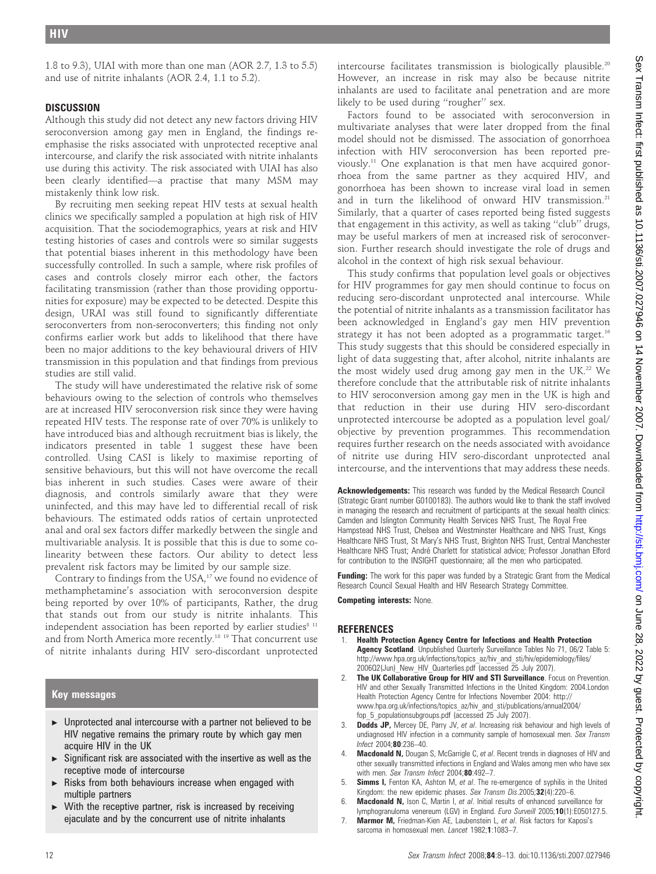1.8 to 9.3), UIAI with more than one man (AOR 2.7, 1.3 to 5.5) and use of nitrite inhalants (AOR 2.4, 1.1 to 5.2).

# **DISCUSSION**

Although this study did not detect any new factors driving HIV seroconversion among gay men in England, the findings reemphasise the risks associated with unprotected receptive anal intercourse, and clarify the risk associated with nitrite inhalants use during this activity. The risk associated with UIAI has also been clearly identified—a practise that many MSM may mistakenly think low risk.

By recruiting men seeking repeat HIV tests at sexual health clinics we specifically sampled a population at high risk of HIV acquisition. That the sociodemographics, years at risk and HIV testing histories of cases and controls were so similar suggests that potential biases inherent in this methodology have been successfully controlled. In such a sample, where risk profiles of cases and controls closely mirror each other, the factors facilitating transmission (rather than those providing opportunities for exposure) may be expected to be detected. Despite this design, URAI was still found to significantly differentiate seroconverters from non-seroconverters; this finding not only confirms earlier work but adds to likelihood that there have been no major additions to the key behavioural drivers of HIV transmission in this population and that findings from previous studies are still valid.

The study will have underestimated the relative risk of some behaviours owing to the selection of controls who themselves are at increased HIV seroconversion risk since they were having repeated HIV tests. The response rate of over 70% is unlikely to have introduced bias and although recruitment bias is likely, the indicators presented in table 1 suggest these have been controlled. Using CASI is likely to maximise reporting of sensitive behaviours, but this will not have overcome the recall bias inherent in such studies. Cases were aware of their diagnosis, and controls similarly aware that they were uninfected, and this may have led to differential recall of risk behaviours. The estimated odds ratios of certain unprotected anal and oral sex factors differ markedly between the single and multivariable analysis. It is possible that this is due to some colinearity between these factors. Our ability to detect less prevalent risk factors may be limited by our sample size.

Contrary to findings from the USA,<sup>17</sup> we found no evidence of methamphetamine's association with seroconversion despite being reported by over 10% of participants, Rather, the drug that stands out from our study is nitrite inhalants. This independent association has been reported by earlier studies<sup>8 11</sup> and from North America more recently.18 19 That concurrent use of nitrite inhalants during HIV sero-discordant unprotected

### Key messages

- $\triangleright$  Unprotected anal intercourse with a partner not believed to be HIV negative remains the primary route by which gay men acquire HIV in the UK
- $\triangleright$  Significant risk are associated with the insertive as well as the receptive mode of intercourse
- Risks from both behaviours increase when engaged with multiple partners
- With the receptive partner, risk is increased by receiving ejaculate and by the concurrent use of nitrite inhalants

intercourse facilitates transmission is biologically plausible.<sup>20</sup> However, an increase in risk may also be because nitrite inhalants are used to facilitate anal penetration and are more likely to be used during ''rougher'' sex.

Factors found to be associated with seroconversion in multivariate analyses that were later dropped from the final model should not be dismissed. The association of gonorrhoea infection with HIV seroconversion has been reported previously.11 One explanation is that men have acquired gonorrhoea from the same partner as they acquired HIV, and gonorrhoea has been shown to increase viral load in semen and in turn the likelihood of onward HIV transmission.<sup>21</sup> Similarly, that a quarter of cases reported being fisted suggests that engagement in this activity, as well as taking ''club'' drugs, may be useful markers of men at increased risk of seroconversion. Further research should investigate the role of drugs and alcohol in the context of high risk sexual behaviour.

This study confirms that population level goals or objectives for HIV programmes for gay men should continue to focus on reducing sero-discordant unprotected anal intercourse. While the potential of nitrite inhalants as a transmission facilitator has been acknowledged in England's gay men HIV prevention strategy it has not been adopted as a programmatic target.<sup>16</sup> This study suggests that this should be considered especially in light of data suggesting that, after alcohol, nitrite inhalants are the most widely used drug among gay men in the UK.<sup>22</sup> We therefore conclude that the attributable risk of nitrite inhalants to HIV seroconversion among gay men in the UK is high and that reduction in their use during HIV sero-discordant unprotected intercourse be adopted as a population level goal/ objective by prevention programmes. This recommendation requires further research on the needs associated with avoidance of nitrite use during HIV sero-discordant unprotected anal intercourse, and the interventions that may address these needs.

Acknowledgements: This research was funded by the Medical Research Council (Strategic Grant number G0100183). The authors would like to thank the staff involved in managing the research and recruitment of participants at the sexual health clinics: Camden and Islington Community Health Services NHS Trust, The Royal Free Hampstead NHS Trust, Chelsea and Westminster Healthcare and NHS Trust, Kings Healthcare NHS Trust, St Mary's NHS Trust, Brighton NHS Trust, Central Manchester Healthcare NHS Trust; André Charlett for statistical advice; Professor Jonathan Elford for contribution to the INSIGHT questionnaire; all the men who participated.

Funding: The work for this paper was funded by a Strategic Grant from the Medical Research Council Sexual Health and HIV Research Strategy Committee.

Competing interests: None.

### REFERENCES

- 1. Health Protection Agency Centre for Infections and Health Protection Agency Scotland. Unpublished Quarterly Surveillance Tables No 71, 06/2 Table 5: http://www.hpa.org.uk/infections/topics\_az/hiv\_and\_sti/hiv/epidemiology/files/ 2006Q2(Jun) New HIV Quarterlies.pdf (accessed 25 July 2007).
- 2. The UK Collaborative Group for HIV and STI Surveillance. Focus on Prevention. HIV and other Sexually Transmitted Infections in the United Kingdom: 2004.London Health Protection Agency Centre for Infections November 2004: http:// www.hpa.org.uk/infections/topics\_az/hiv\_and\_sti/publications/annual2004/ fop\_5\_populationsubgroups.pdf (accessed 25 July 2007).
- **Dodds JP,** Mercey DE, Parry JV, et al. Increasing risk behaviour and high levels of undiagnosed HIV infection in a community sample of homosexual men. Sex Transm Infect 2004;80:236–40.
- Macdonald N, Dougan S, McGarrigle C, et al. Recent trends in diagnoses of HIV and other sexually transmitted infections in England and Wales among men who have sex with men. Sex Transm Infect 2004;80:492-7.
- 5. **Simms I,** Fenton KA, Ashton M, et al. The re-emergence of syphilis in the United Kingdom: the new epidemic phases. Sex Transm Dis.2005;32(4):220-6.
- 6. Macdonald N, Ison C, Martin I, et al. Initial results of enhanced surveillance for lymphogranuloma venereum (LGV) in England. Euro Surveill 2005;10(1):E050127.5.
- 7. Marmor M, Friedman-Kien AE, Laubenstein L, et al. Risk factors for Kaposi's sarcoma in homosexual men. Lancet 1982;1:1083-7.